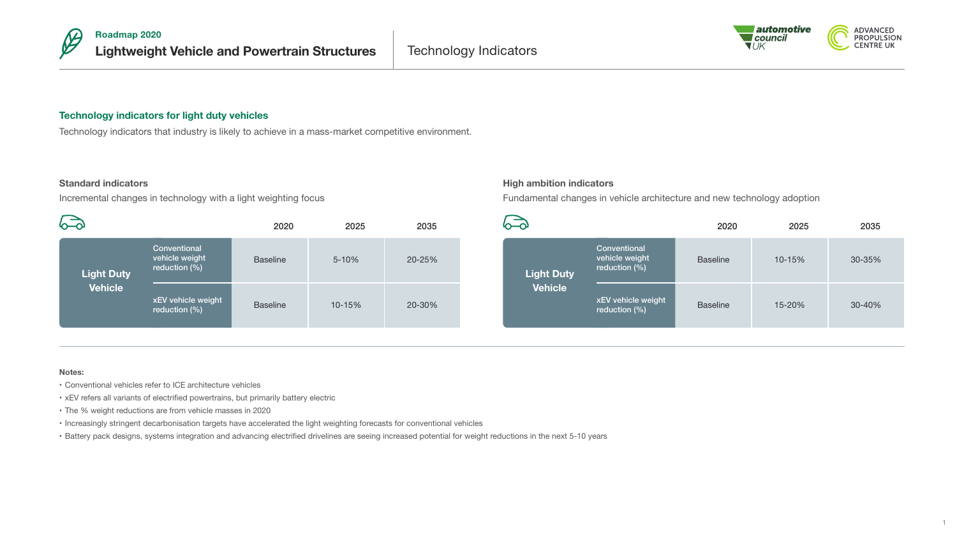



# **Technology indicators for light duty vehicles**

Technology indicators that industry is likely to achieve in a mass-market competitive environment.

# **Standard indicators**

Incremental changes in technology with a light weighting focus

|                                     |                                                    | 2020            | 2025   | 2035   |
|-------------------------------------|----------------------------------------------------|-----------------|--------|--------|
| <b>Light Duty</b><br><b>Vehicle</b> | Conventional<br>vehicle weight<br>reduction $(\%)$ | <b>Baseline</b> | 5-10%  | 20-25% |
|                                     | xEV vehicle weight<br>reduction (%)                | <b>Baseline</b> | 10-15% | 20-30% |

# **High ambition indicators**

Fundamental changes in vehicle architecture and new technology adoption

|                                     |                                                    | 2020            | 2025   | 2035   |
|-------------------------------------|----------------------------------------------------|-----------------|--------|--------|
| <b>Light Duty</b><br><b>Vehicle</b> | Conventional<br>vehicle weight<br>reduction $(\%)$ | <b>Baseline</b> | 10-15% | 30-35% |
|                                     | xEV vehicle weight<br>reduction (%)                | <b>Baseline</b> | 15-20% | 30-40% |

#### **Notes:**

- • Conventional vehicles refer to ICE architecture vehicles
- xEV refers all variants of electrified powertrains, but primarily battery electric
- The % weight reductions are from vehicle masses in 2020
- • Increasingly stringent decarbonisation targets have accelerated the light weighting forecasts for conventional vehicles

• Battery pack designs, systems integration and advancing electrified drivelines are seeing increased potential for weight reductions in the next 5-10 years